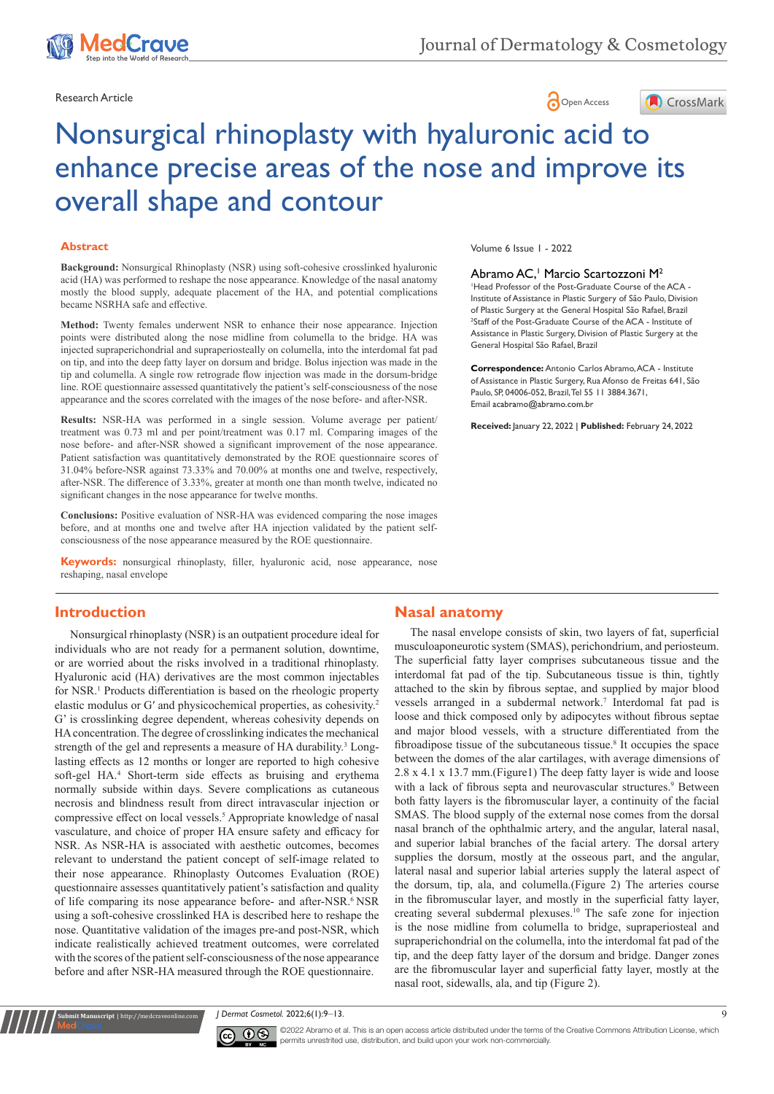

Research Article **Contract Article** of the Contract of the Open Access **Contract Open Access** 



# Nonsurgical rhinoplasty with hyaluronic acid to enhance precise areas of the nose and improve its overall shape and contour

#### **Abstract**

**Background:** Nonsurgical Rhinoplasty (NSR) using soft-cohesive crosslinked hyaluronic acid (HA) was performed to reshape the nose appearance. Knowledge of the nasal anatomy mostly the blood supply, adequate placement of the HA, and potential complications became NSRHA safe and effective.

**Method:** Twenty females underwent NSR to enhance their nose appearance. Injection points were distributed along the nose midline from columella to the bridge. HA was injected supraperichondrial and supraperiosteally on columella, into the interdomal fat pad on tip, and into the deep fatty layer on dorsum and bridge. Bolus injection was made in the tip and columella. A single row retrograde flow injection was made in the dorsum-bridge line. ROE questionnaire assessed quantitatively the patient's self-consciousness of the nose appearance and the scores correlated with the images of the nose before- and after-NSR.

**Results:** NSR-HA was performed in a single session. Volume average per patient/ treatment was 0.73 ml and per point/treatment was 0.17 ml. Comparing images of the nose before- and after-NSR showed a significant improvement of the nose appearance. Patient satisfaction was quantitatively demonstrated by the ROE questionnaire scores of 31.04% before-NSR against 73.33% and 70.00% at months one and twelve, respectively, after-NSR. The difference of 3.33%, greater at month one than month twelve, indicated no significant changes in the nose appearance for twelve months.

**Conclusions:** Positive evaluation of NSR-HA was evidenced comparing the nose images before, and at months one and twelve after HA injection validated by the patient selfconsciousness of the nose appearance measured by the ROE questionnaire.

**Keywords:** nonsurgical rhinoplasty, filler, hyaluronic acid, nose appearance, nose reshaping, nasal envelope

#### Volume 6 Issue 1 - 2022

#### Abramo AC,<sup>1</sup> Marcio Scartozzoni M<sup>2</sup>

1 Head Professor of the Post-Graduate Course of the ACA - Institute of Assistance in Plastic Surgery of São Paulo, Division of Plastic Surgery at the General Hospital São Rafael, Brazil <sup>2</sup>Staff of the Post-Graduate Course of the ACA - Institute of Assistance in Plastic Surgery, Division of Plastic Surgery at the General Hospital São Rafael, Brazil

**Correspondence:** Antonio Carlos Abramo, ACA - Institute of Assistance in Plastic Surgery, Rua Afonso de Freitas 641, São Paulo, SP, 04006-052, Brazil, Tel 55 11 3884.3671, Email acabramo@abramo.com.br

**Received:** January 22, 2022 | **Published:** February 24, 2022

# **Introduction**

Nonsurgical rhinoplasty (NSR) is an outpatient procedure ideal for individuals who are not ready for a permanent solution, downtime, or are worried about the risks involved in a traditional rhinoplasty. Hyaluronic acid (HA) derivatives are the most common injectables for NSR.<sup>1</sup> Products differentiation is based on the rheologic property elastic modulus or G′ and physicochemical properties, as cohesivity.<sup>2</sup> G' is crosslinking degree dependent, whereas cohesivity depends on HA concentration. The degree of crosslinking indicates the mechanical strength of the gel and represents a measure of HA durability.<sup>3</sup> Longlasting effects as 12 months or longer are reported to high cohesive soft-gel HA.<sup>4</sup> Short-term side effects as bruising and erythema normally subside within days. Severe complications as cutaneous necrosis and blindness result from direct intravascular injection or compressive effect on local vessels.<sup>5</sup> Appropriate knowledge of nasal vasculature, and choice of proper HA ensure safety and efficacy for NSR. As NSR-HA is associated with aesthetic outcomes, becomes relevant to understand the patient concept of self-image related to their nose appearance. Rhinoplasty Outcomes Evaluation (ROE) questionnaire assesses quantitatively patient's satisfaction and quality of life comparing its nose appearance before- and after-NSR.<sup>6</sup> NSR using a soft-cohesive crosslinked HA is described here to reshape the nose. Quantitative validation of the images pre-and post-NSR, which indicate realistically achieved treatment outcomes, were correlated with the scores of the patient self-consciousness of the nose appearance before and after NSR-HA measured through the ROE questionnaire.

### **Nasal anatomy**

The nasal envelope consists of skin, two layers of fat, superficial musculoaponeurotic system (SMAS), perichondrium, and periosteum. The superficial fatty layer comprises subcutaneous tissue and the interdomal fat pad of the tip. Subcutaneous tissue is thin, tightly attached to the skin by fibrous septae, and supplied by major blood vessels arranged in a subdermal network.7 Interdomal fat pad is loose and thick composed only by adipocytes without fibrous septae and major blood vessels, with a structure differentiated from the fibroadipose tissue of the subcutaneous tissue.<sup>8</sup> It occupies the space between the domes of the alar cartilages, with average dimensions of 2.8 x 4.1 x 13.7 mm.(Figure1) The deep fatty layer is wide and loose with a lack of fibrous septa and neurovascular structures.<sup>9</sup> Between both fatty layers is the fibromuscular layer, a continuity of the facial SMAS. The blood supply of the external nose comes from the dorsal nasal branch of the ophthalmic artery, and the angular, lateral nasal, and superior labial branches of the facial artery. The dorsal artery supplies the dorsum, mostly at the osseous part, and the angular, lateral nasal and superior labial arteries supply the lateral aspect of the dorsum, tip, ala, and columella.(Figure 2) The arteries course in the fibromuscular layer, and mostly in the superficial fatty layer, creating several subdermal plexuses.10 The safe zone for injection is the nose midline from columella to bridge, supraperiosteal and supraperichondrial on the columella, into the interdomal fat pad of the tip, and the deep fatty layer of the dorsum and bridge. Danger zones are the fibromuscular layer and superficial fatty layer, mostly at the nasal root, sidewalls, ala, and tip (Figure 2).

*J Dermat Cosmetol.* 2022;6(1):9‒13. 9



**it Manuscript** | http://medcraveonline.c

 $\boxed{\mathbf{c}}$   $\boxed{\mathbf{c}}$   $\boxed{\mathbf{c}}$   $\boxed{\mathbf{c}}$   $\boxed{\mathbf{c}}$  Abramo et al. This is an open access article distributed under the terms of the Creative Commons Attribution License, which permits unrestrited use, distribution, and build upon your work non-commercially.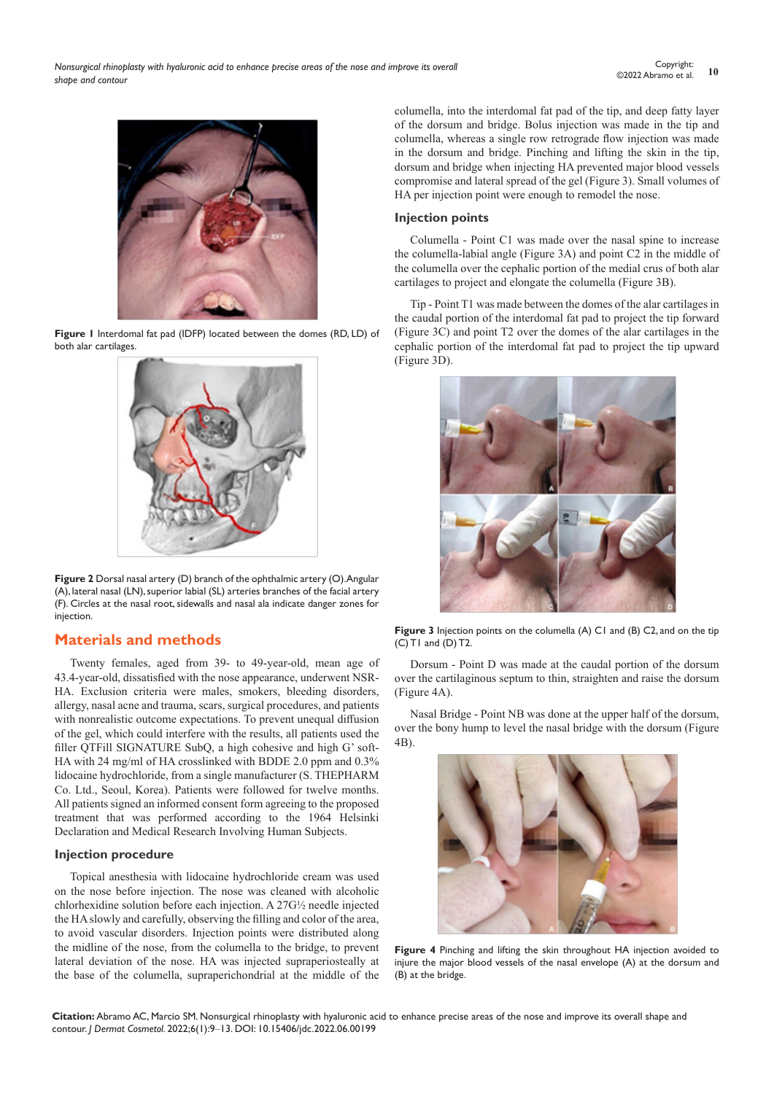

**Figure 1** Interdomal fat pad (IDFP) located between the domes (RD, LD) of both alar cartilages.



**Figure 2** Dorsal nasal artery (D) branch of the ophthalmic artery (O). Angular (A), lateral nasal (LN), superior labial (SL) arteries branches of the facial artery (F). Circles at the nasal root, sidewalls and nasal ala indicate danger zones for injection.

# **Materials and methods**

Twenty females, aged from 39- to 49-year-old, mean age of 43.4-year-old, dissatisfied with the nose appearance, underwent NSR-HA. Exclusion criteria were males, smokers, bleeding disorders, allergy, nasal acne and trauma, scars, surgical procedures, and patients with nonrealistic outcome expectations. To prevent unequal diffusion of the gel, which could interfere with the results, all patients used the filler QTFill SIGNATURE SubQ, a high cohesive and high G' soft-HA with 24 mg/ml of HA crosslinked with BDDE 2.0 ppm and 0.3% lidocaine hydrochloride, from a single manufacturer (S. THEPHARM Co. Ltd., Seoul, Korea). Patients were followed for twelve months. All patients signed an informed consent form agreeing to the proposed treatment that was performed according to the 1964 Helsinki Declaration and Medical Research Involving Human Subjects.

### **Injection procedure**

Topical anesthesia with lidocaine hydrochloride cream was used on the nose before injection. The nose was cleaned with alcoholic chlorhexidine solution before each injection. A 27G½ needle injected the HA slowly and carefully, observing the filling and color of the area, to avoid vascular disorders. Injection points were distributed along the midline of the nose, from the columella to the bridge, to prevent lateral deviation of the nose. HA was injected supraperiosteally at the base of the columella, supraperichondrial at the middle of the columella, into the interdomal fat pad of the tip, and deep fatty layer of the dorsum and bridge. Bolus injection was made in the tip and columella, whereas a single row retrograde flow injection was made in the dorsum and bridge. Pinching and lifting the skin in the tip, dorsum and bridge when injecting HA prevented major blood vessels compromise and lateral spread of the gel (Figure 3). Small volumes of HA per injection point were enough to remodel the nose.

#### **Injection points**

Columella - Point C1 was made over the nasal spine to increase the columella-labial angle (Figure 3A) and point C2 in the middle of the columella over the cephalic portion of the medial crus of both alar cartilages to project and elongate the columella (Figure 3B).

Tip - Point T1 was made between the domes of the alar cartilages in the caudal portion of the interdomal fat pad to project the tip forward (Figure 3C) and point T2 over the domes of the alar cartilages in the cephalic portion of the interdomal fat pad to project the tip upward (Figure 3D).



**Figure 3** Injection points on the columella (A) C1 and (B) C2, and on the tip (C) T1 and (D) T2.

Dorsum - Point D was made at the caudal portion of the dorsum over the cartilaginous septum to thin, straighten and raise the dorsum (Figure 4A).

Nasal Bridge - Point NB was done at the upper half of the dorsum, over the bony hump to level the nasal bridge with the dorsum (Figure 4B).



**Figure 4** Pinching and lifting the skin throughout HA injection avoided to injure the major blood vessels of the nasal envelope (A) at the dorsum and (B) at the bridge.

**Citation:** Abramo AC, Marcio SM. Nonsurgical rhinoplasty with hyaluronic acid to enhance precise areas of the nose and improve its overall shape and contour. *J Dermat Cosmetol.* 2022;6(1):9‒13. DOI: [10.15406/jdc.2022.06.00199](https://doi.org/10.15406/jdc.2022.06.00199)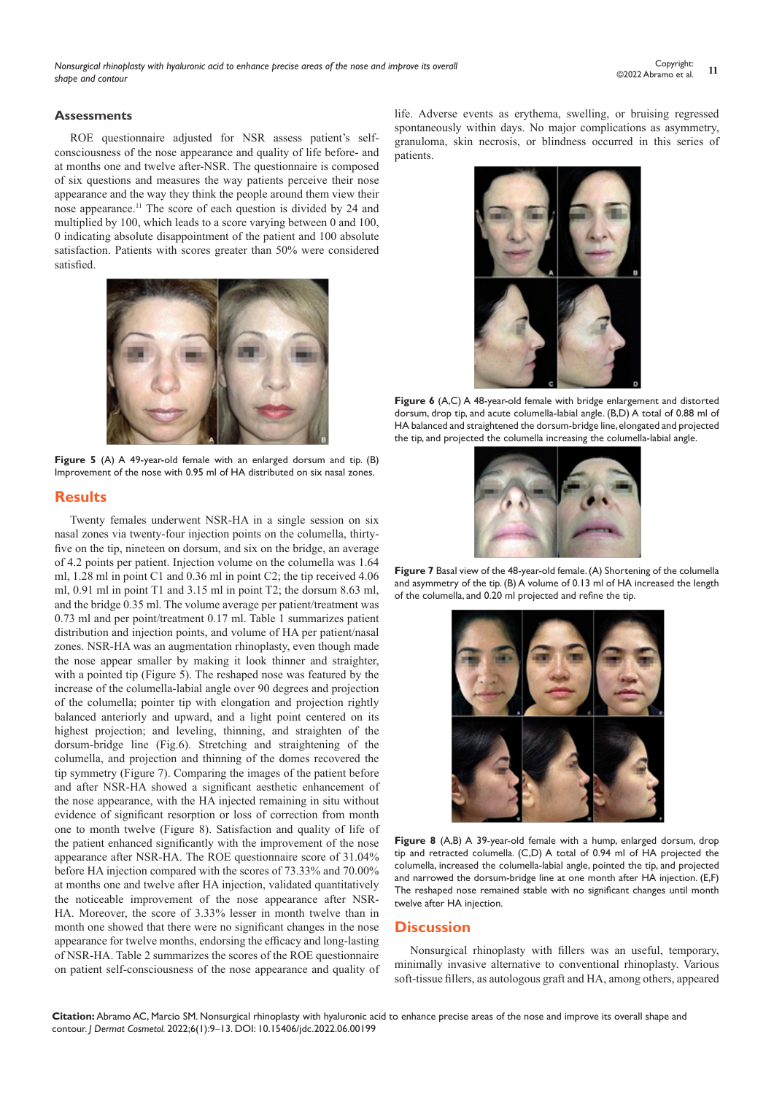*Nonsurgical rhinoplasty with hyaluronic acid to enhance precise areas of the nose and improve its overall shape and contour*

#### **Assessments**

ROE questionnaire adjusted for NSR assess patient's selfconsciousness of the nose appearance and quality of life before- and at months one and twelve after-NSR. The questionnaire is composed of six questions and measures the way patients perceive their nose appearance and the way they think the people around them view their nose appearance.11 The score of each question is divided by 24 and multiplied by 100, which leads to a score varying between 0 and 100, 0 indicating absolute disappointment of the patient and 100 absolute satisfaction. Patients with scores greater than 50% were considered satisfied.



**Figure 5** (A) A 49-year-old female with an enlarged dorsum and tip. (B) Improvement of the nose with 0.95 ml of HA distributed on six nasal zones.

#### **Results**

Twenty females underwent NSR-HA in a single session on six nasal zones via twenty-four injection points on the columella, thirtyfive on the tip, nineteen on dorsum, and six on the bridge, an average of 4.2 points per patient. Injection volume on the columella was 1.64 ml, 1.28 ml in point C1 and 0.36 ml in point C2; the tip received 4.06 ml, 0.91 ml in point T1 and 3.15 ml in point T2; the dorsum 8.63 ml, and the bridge 0.35 ml. The volume average per patient/treatment was 0.73 ml and per point/treatment 0.17 ml. Table 1 summarizes patient distribution and injection points, and volume of HA per patient/nasal zones. NSR-HA was an augmentation rhinoplasty, even though made the nose appear smaller by making it look thinner and straighter, with a pointed tip (Figure 5). The reshaped nose was featured by the increase of the columella-labial angle over 90 degrees and projection of the columella; pointer tip with elongation and projection rightly balanced anteriorly and upward, and a light point centered on its highest projection; and leveling, thinning, and straighten of the dorsum-bridge line (Fig.6). Stretching and straightening of the columella, and projection and thinning of the domes recovered the tip symmetry (Figure 7). Comparing the images of the patient before and after NSR-HA showed a significant aesthetic enhancement of the nose appearance, with the HA injected remaining in situ without evidence of significant resorption or loss of correction from month one to month twelve (Figure 8). Satisfaction and quality of life of the patient enhanced significantly with the improvement of the nose appearance after NSR-HA. The ROE questionnaire score of 31.04% before HA injection compared with the scores of 73.33% and 70.00% at months one and twelve after HA injection, validated quantitatively the noticeable improvement of the nose appearance after NSR-HA. Moreover, the score of 3.33% lesser in month twelve than in month one showed that there were no significant changes in the nose appearance for twelve months, endorsing the efficacy and long-lasting of NSR-HA. Table 2 summarizes the scores of the ROE questionnaire on patient self-consciousness of the nose appearance and quality of life. Adverse events as erythema, swelling, or bruising regressed spontaneously within days. No major complications as asymmetry, granuloma, skin necrosis, or blindness occurred in this series of patients.



Figure 6 (A,C) A 48-year-old female with bridge enlargement and distorted dorsum, drop tip, and acute columella-labial angle. (B,D) A total of 0.88 ml of HA balanced and straightened the dorsum-bridge line, elongated and projected the tip, and projected the columella increasing the columella-labial angle.



**Figure 7** Basal view of the 48-year-old female. (A) Shortening of the columella and asymmetry of the tip. (B) A volume of 0.13 ml of HA increased the length of the columella, and 0.20 ml projected and refine the tip.



**Figure 8** (A,B) A 39-year-old female with a hump, enlarged dorsum, drop tip and retracted columella. (C,D) A total of 0.94 ml of HA projected the columella, increased the columella-labial angle, pointed the tip, and projected and narrowed the dorsum-bridge line at one month after HA injection. (E,F) The reshaped nose remained stable with no significant changes until month twelve after HA injection.

#### **Discussion**

Nonsurgical rhinoplasty with fillers was an useful, temporary, minimally invasive alternative to conventional rhinoplasty. Various soft-tissue fillers, as autologous graft and HA, among others, appeared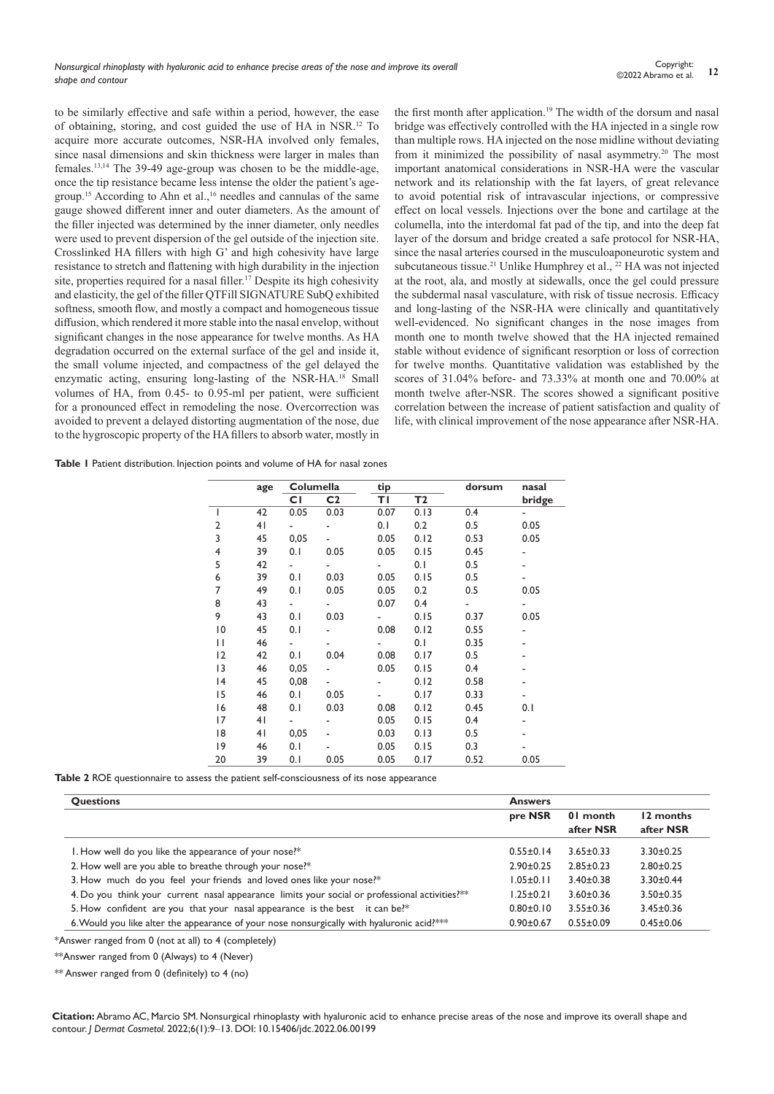to be similarly effective and safe within a period, however, the ease of obtaining, storing, and cost guided the use of HA in NSR.12 To acquire more accurate outcomes, NSR-HA involved only females, since nasal dimensions and skin thickness were larger in males than females.13,14 The 39-49 age-group was chosen to be the middle-age, once the tip resistance became less intense the older the patient's agegroup.<sup>15</sup> According to Ahn et al.,<sup>16</sup> needles and cannulas of the same gauge showed different inner and outer diameters. As the amount of the filler injected was determined by the inner diameter, only needles were used to prevent dispersion of the gel outside of the injection site. Crosslinked HA fillers with high G' and high cohesivity have large resistance to stretch and flattening with high durability in the injection site, properties required for a nasal filler.<sup>17</sup> Despite its high cohesivity and elasticity, the gel of the filler QTFill SIGNATURE SubQ exhibited softness, smooth flow, and mostly a compact and homogeneous tissue diffusion, which rendered it more stable into the nasal envelop, without significant changes in the nose appearance for twelve months. As HA degradation occurred on the external surface of the gel and inside it, the small volume injected, and compactness of the gel delayed the enzymatic acting, ensuring long-lasting of the NSR-HA.18 Small volumes of HA, from 0.45- to 0.95-ml per patient, were sufficient for a pronounced effect in remodeling the nose. Overcorrection was avoided to prevent a delayed distorting augmentation of the nose, due to the hygroscopic property of the HA fillers to absorb water, mostly in

the first month after application.<sup>19</sup> The width of the dorsum and nasal bridge was effectively controlled with the HA injected in a single row than multiple rows. HA injected on the nose midline without deviating from it minimized the possibility of nasal asymmetry.20 The most important anatomical considerations in NSR-HA were the vascular network and its relationship with the fat layers, of great relevance to avoid potential risk of intravascular injections, or compressive effect on local vessels. Injections over the bone and cartilage at the columella, into the interdomal fat pad of the tip, and into the deep fat layer of the dorsum and bridge created a safe protocol for NSR-HA, since the nasal arteries coursed in the musculoaponeurotic system and subcutaneous tissue.<sup>21</sup> Unlike Humphrey et al.,  $^{22}$  HA was not injected at the root, ala, and mostly at sidewalls, once the gel could pressure the subdermal nasal vasculature, with risk of tissue necrosis. Efficacy and long-lasting of the NSR-HA were clinically and quantitatively well-evidenced. No significant changes in the nose images from month one to month twelve showed that the HA injected remained stable without evidence of significant resorption or loss of correction for twelve months. Quantitative validation was established by the scores of 31.04% before- and 73.33% at month one and 70.00% at month twelve after-NSR. The scores showed a significant positive correlation between the increase of patient satisfaction and quality of life, with clinical improvement of the nose appearance after NSR-HA.

**Table 1** Patient distribution. Injection points and volume of HA for nasal zones

|             | age | Columella |                | tip  |      | dorsum | nasal                    |
|-------------|-----|-----------|----------------|------|------|--------|--------------------------|
|             |     | СI        | C <sub>2</sub> | ΤI   | T2   |        | bridge                   |
| I           | 42  | 0.05      | 0.03           | 0.07 | 0.13 | 0.4    |                          |
| 2           | 41  |           | ÷,             | 0.1  | 0.2  | 0.5    | 0.05                     |
| 3           | 45  | 0,05      |                | 0.05 | 0.12 | 0.53   | 0.05                     |
| 4           | 39  | 0.1       | 0.05           | 0.05 | 0.15 | 0.45   |                          |
| 5           | 42  |           |                |      | 0.1  | 0.5    | $\overline{\phantom{0}}$ |
| 6           | 39  | 0.1       | 0.03           | 0.05 | 0.15 | 0.5    |                          |
| 7           | 49  | 0.1       | 0.05           | 0.05 | 0.2  | 0.5    | 0.05                     |
| 8           | 43  |           | ۰              | 0.07 | 0.4  |        |                          |
| 9           | 43  | 0.1       | 0.03           |      | 0.15 | 0.37   | 0.05                     |
| 10          | 45  | 0.1       |                | 0.08 | 0.12 | 0.55   |                          |
| П           | 46  |           |                |      | 0.1  | 0.35   |                          |
| 12          | 42  | 0.1       | 0.04           | 0.08 | 0.17 | 0.5    | ٠                        |
| 13          | 46  | 0,05      |                | 0.05 | 0.15 | 0.4    |                          |
| 4           | 45  | 0,08      |                |      | 0.12 | 0.58   |                          |
| 15          | 46  | 0.1       | 0.05           |      | 0.17 | 0.33   |                          |
| 16          | 48  | 0.1       | 0.03           | 0.08 | 0.12 | 0.45   | 0.1                      |
| 17          | 41  |           |                | 0.05 | 0.15 | 0.4    |                          |
| 18          | 41  | 0,05      |                | 0.03 | 0.13 | 0.5    | $\overline{\phantom{0}}$ |
| $ 9\rangle$ | 46  | 0.1       |                | 0.05 | 0.15 | 0.3    |                          |
| 20          | 39  | 0.1       | 0.05           | 0.05 | 0.17 | 0.52   | 0.05                     |

**Table 2** ROE questionnaire to assess the patient self-consciousness of its nose appearance

| <b>Questions</b>                                                                                | <b>Answers</b>  |                 |                 |  |
|-------------------------------------------------------------------------------------------------|-----------------|-----------------|-----------------|--|
|                                                                                                 | pre NSR         | 01 month        | 12 months       |  |
|                                                                                                 |                 | after NSR       | after NSR       |  |
| I. How well do you like the appearance of your nose?*                                           | $0.55 \pm 0.14$ | $3.65 \pm 0.33$ | $3.30 \pm 0.25$ |  |
| 2. How well are you able to breathe through your nose?*                                         | $2.90 \pm 0.25$ | $2.85 \pm 0.23$ | $2.80 \pm 0.25$ |  |
| 3. How much do you feel your friends and loved ones like your nose?*                            | $1.05 \pm 0.11$ | $3.40 \pm 0.38$ | $3.30 \pm 0.44$ |  |
| 4. Do you think your current nasal appearance limits your social or professional activities? ** | $1.25 \pm 0.21$ | $3.60 \pm 0.36$ | $3.50 \pm 0.35$ |  |
| 5. How confident are you that your nasal appearance is the best it can be?*                     | $0.80 \pm 0.10$ | $3.55 \pm 0.36$ | $3.45 \pm 0.36$ |  |
| 6. Would you like alter the appearance of your nose nonsurgically with hyaluronic acid?**       | $0.90 + 0.67$   | $0.55 \pm 0.09$ | $0.45 \pm 0.06$ |  |

\*Answer ranged from 0 (not at all) to 4 (completely)

\*\*Answer ranged from 0 (Always) to 4 (Never)

\*\* Answer ranged from 0 (definitely) to 4 (no)

**Citation:** Abramo AC, Marcio SM. Nonsurgical rhinoplasty with hyaluronic acid to enhance precise areas of the nose and improve its overall shape and contour. *J Dermat Cosmetol.* 2022;6(1):9‒13. DOI: [10.15406/jdc.2022.06.00199](https://doi.org/10.15406/jdc.2022.06.00199)